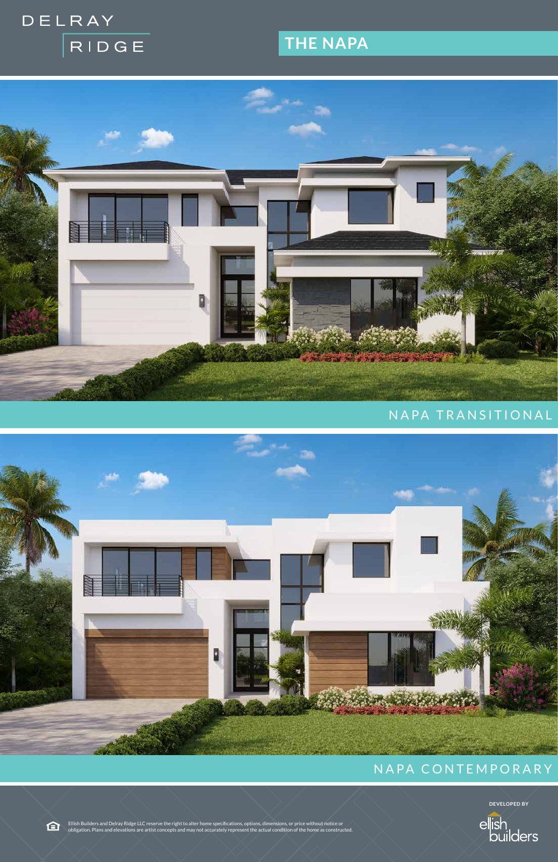# DELRAY RIDGE

## **THE NAPA**



## NAPA TRANSITIONAL



## NAPA CONTEMPORARY

臼

**DEVELOPED BY**



Ellish Builders and Delray Ridge LLC reserve the right to alter home specifications, options, dimensions, or price without notice or obligation. Plans and elevations are artist concepts and may not accurately represent the actual condition of the home as constructed.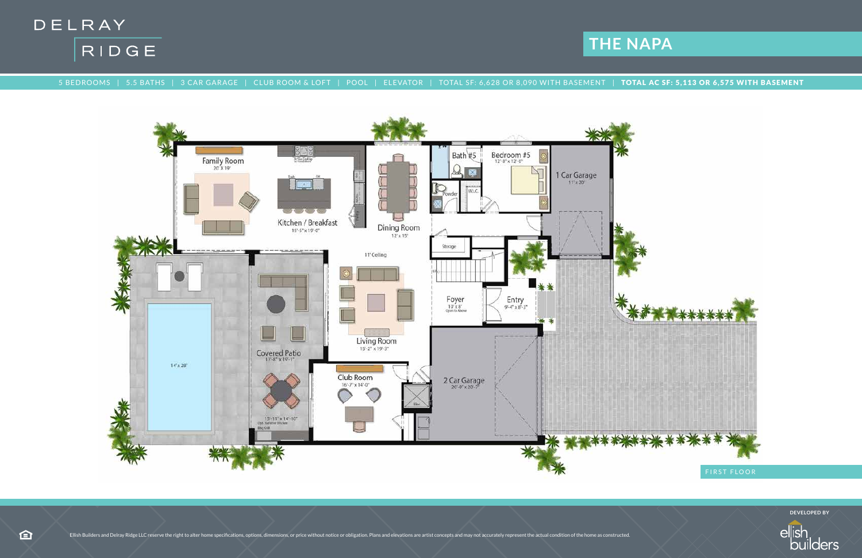



5 BEDROOMS | 5.5 BATHS | 3 CAR GARAGE | CLUB ROOM & LOFT | POOL | ELEVATOR | TOTAL SF: 6,628 OR 8,090 WITH BASEMENT | TOTAL AC SF: 5,113 OR 6,575 WITH BASEMENT



**DEVELOPED BY**

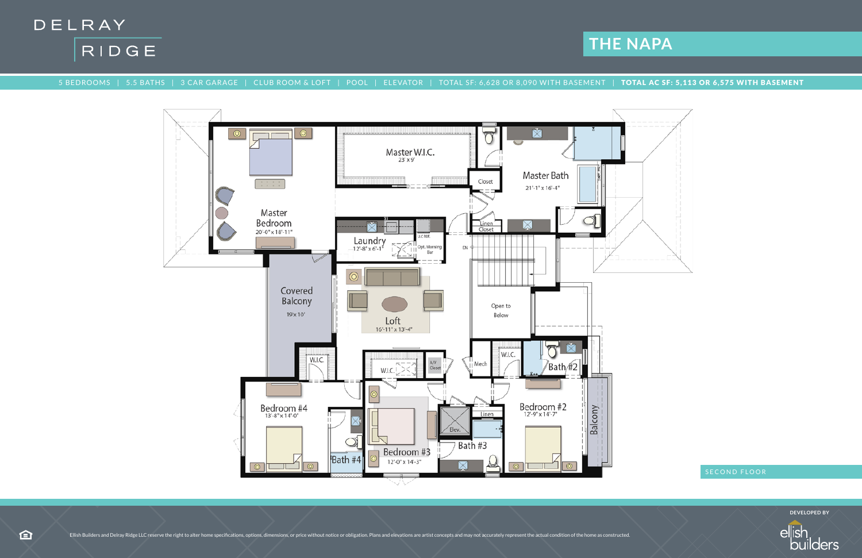



### 5 BEDROOMS | 5.5 BATHS | 3 CAR GARAGE | CLUB ROOM & LOFT | POOL | ELEVATOR | TOTAL SF: 6,628 OR 8,090 WITH BASEMENT | TOTAL AC SF: 5,113 OR 6,575 WITH BASEMENT





**DEVELOPED BY**